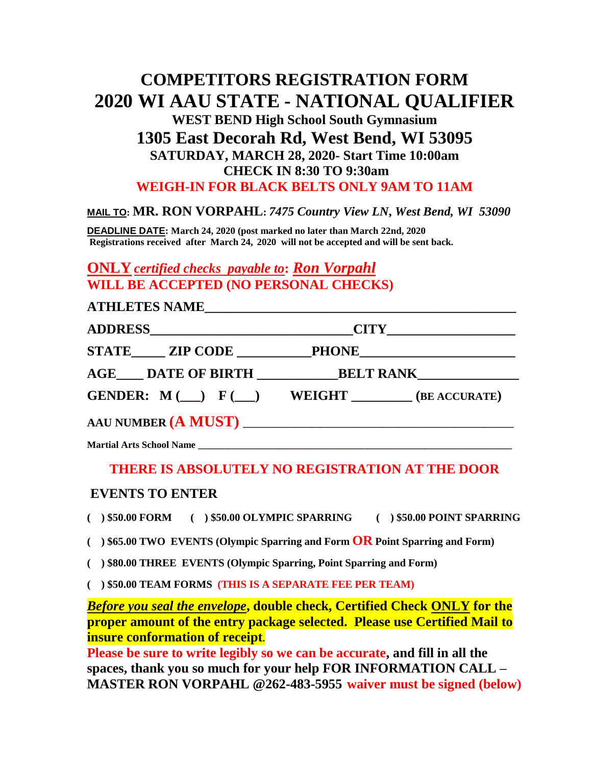# **COMPETITORS REGISTRATION FORM 2020 WI AAU STATE - NATIONAL QUALIFIER WEST BEND High School South Gymnasium 1305 East Decorah Rd, West Bend, WI 53095 SATURDAY, MARCH 28, 2020- Start Time 10:00am CHECK IN 8:30 TO 9:30am WEIGH-IN FOR BLACK BELTS ONLY 9AM TO 11AM**

### **MAIL TO: MR. RON VORPAHL:** *7475 Country View LN***,** *West Bend, WI 53090*

**DEADLINE DATE: March 24, 2020 (post marked no later than March 22nd, 2020 Registrations received after March 24, 2020 will not be accepted and will be sent back.**

**ONLY** *certified checks payable to***:** *Ron Vorpahl* **WILL BE ACCEPTED (NO PERSONAL CHECKS)**

| ATHLETES NAME |                                                                   |  |  |
|---------------|-------------------------------------------------------------------|--|--|
|               |                                                                   |  |  |
|               | STATE ZIP CODE PHONE                                              |  |  |
|               | AGE DATE OF BIRTH BELT RANK                                       |  |  |
|               | <b>GENDER:</b> $M(\_\_\)$ $F(\_\_\)$ WEIGHT $(\_\_\_\$ EACCURATE) |  |  |
|               |                                                                   |  |  |
|               |                                                                   |  |  |

## **THERE IS ABSOLUTELY NO REGISTRATION AT THE DOOR**

### **EVENTS TO ENTER**

**( ) \$50.00 FORM ( ) \$50.00 OLYMPIC SPARRING ( ) \$50.00 POINT SPARRING**

**( ) \$65.00 TWO EVENTS (Olympic Sparring and Form OR Point Sparring and Form)**

**( ) \$80.00 THREE EVENTS (Olympic Sparring, Point Sparring and Form)**

**( ) \$50.00 TEAM FORMS (THIS IS A SEPARATE FEE PER TEAM)**

*Before you seal the envelope***, double check, Certified Check ONLY for the proper amount of the entry package selected. Please use Certified Mail to insure conformation of receipt.**

**Please be sure to write legibly so we can be accurate, and fill in all the spaces, thank you so much for your help FOR INFORMATION CALL – MASTER RON VORPAHL @262-483-5955 waiver must be signed (below)**